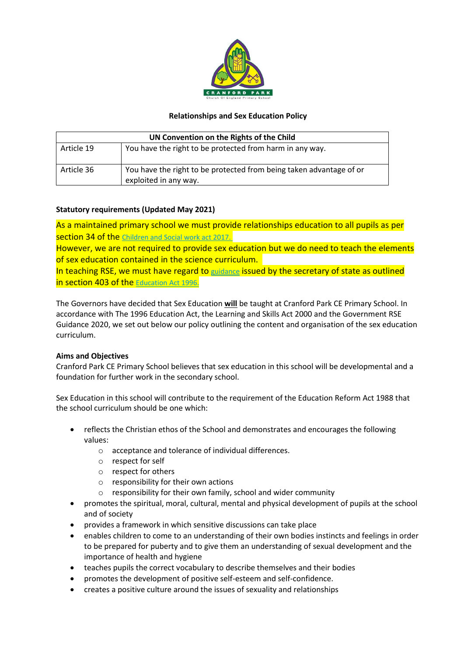

# **Relationships and Sex Education Policy**

| UN Convention on the Rights of the Child |                                                                                              |
|------------------------------------------|----------------------------------------------------------------------------------------------|
| Article 19                               | You have the right to be protected from harm in any way.                                     |
| Article 36                               | You have the right to be protected from being taken advantage of or<br>exploited in any way. |

# **Statutory requirements (Updated May 2021)**

As a maintained primary school we must provide relationships education to all pupils as per section 34 of the [Children](http://www.legislation.gov.uk/ukpga/2017/16/section/34/enacted) and Social work act 2017.

However, we are not required to provide sex education but we do need to teach the elements of sex education contained in the science curriculum.

In teaching RSE, we must have regard to [guidance](https://www.gov.uk/government/consultations/relationships-and-sex-education-and-health-education) issued by the secretary of state as outlined in section 403 of the [Education](http://www.legislation.gov.uk/ukpga/1996/56/contents) Act 1996.

The Governors have decided that Sex Education **will** be taught at Cranford Park CE Primary School. In accordance with The 1996 Education Act, the Learning and Skills Act 2000 and the Government RSE Guidance 2020, we set out below our policy outlining the content and organisation of the sex education curriculum.

#### **Aims and Objectives**

Cranford Park CE Primary School believes that sex education in this school will be developmental and a foundation for further work in the secondary school.

Sex Education in this school will contribute to the requirement of the Education Reform Act 1988 that the school curriculum should be one which:

- reflects the Christian ethos of the School and demonstrates and encourages the following values:
	- o acceptance and tolerance of individual differences.
	- o respect for self
	- o respect for others
	- o responsibility for their own actions
	- o responsibility for their own family, school and wider community
- promotes the spiritual, moral, cultural, mental and physical development of pupils at the school and of society
- provides a framework in which sensitive discussions can take place
- enables children to come to an understanding of their own bodies instincts and feelings in order to be prepared for puberty and to give them an understanding of sexual development and the importance of health and hygiene
- teaches pupils the correct vocabulary to describe themselves and their bodies
- promotes the development of positive self-esteem and self-confidence.
- creates a positive culture around the issues of sexuality and relationships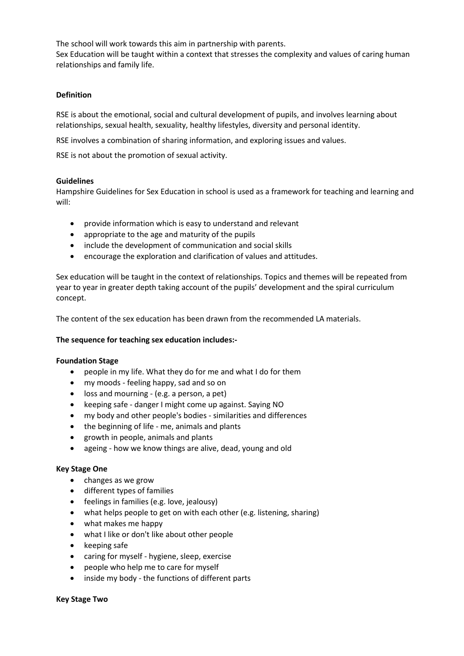The school will work towards this aim in partnership with parents. Sex Education will be taught within a context that stresses the complexity and values of caring human relationships and family life.

### **Definition**

RSE is about the emotional, social and cultural development of pupils, and involves learning about relationships, sexual health, sexuality, healthy lifestyles, diversity and personal identity.

RSE involves a combination of sharing information, and exploring issues and values.

RSE is not about the promotion of sexual activity.

#### **Guidelines**

Hampshire Guidelines for Sex Education in school is used as a framework for teaching and learning and will:

- provide information which is easy to understand and relevant
- appropriate to the age and maturity of the pupils
- include the development of communication and social skills
- encourage the exploration and clarification of values and attitudes.

Sex education will be taught in the context of relationships. Topics and themes will be repeated from year to year in greater depth taking account of the pupils' development and the spiral curriculum concept.

The content of the sex education has been drawn from the recommended LA materials.

#### **The sequence for teaching sex education includes:-**

#### **Foundation Stage**

- people in my life. What they do for me and what I do for them
- my moods feeling happy, sad and so on
- loss and mourning (e.g. a person, a pet)
- keeping safe danger I might come up against. Saying NO
- my body and other people's bodies similarities and differences
- the beginning of life me, animals and plants
- growth in people, animals and plants
- ageing how we know things are alive, dead, young and old

#### **Key Stage One**

- changes as we grow
- different types of families
- feelings in families (e.g. love, jealousy)
- what helps people to get on with each other (e.g. listening, sharing)
- what makes me happy
- what I like or don't like about other people
- keeping safe
- caring for myself hygiene, sleep, exercise
- people who help me to care for myself
- inside my body the functions of different parts

#### **Key Stage Two**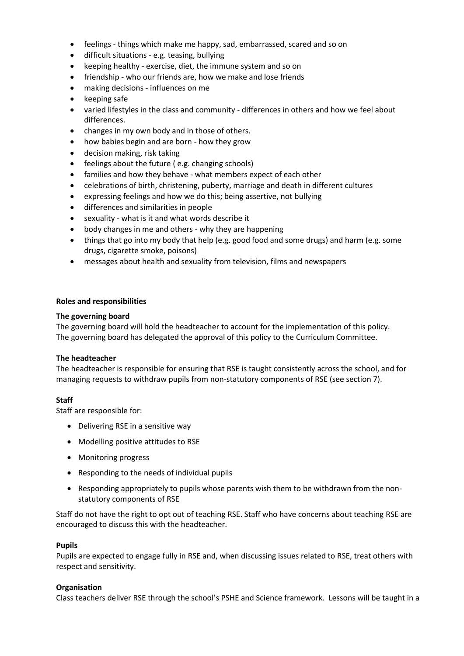- feelings things which make me happy, sad, embarrassed, scared and so on
- difficult situations e.g. teasing, bullying
- keeping healthy exercise, diet, the immune system and so on
- friendship who our friends are, how we make and lose friends
- making decisions influences on me
- keeping safe
- varied lifestyles in the class and community differences in others and how we feel about differences.
- changes in my own body and in those of others.
- how babies begin and are born how they grow
- decision making, risk taking
- feelings about the future ( e.g. changing schools)
- families and how they behave what members expect of each other
- celebrations of birth, christening, puberty, marriage and death in different cultures
- expressing feelings and how we do this; being assertive, not bullying
- differences and similarities in people
- sexuality what is it and what words describe it
- body changes in me and others why they are happening
- things that go into my body that help (e.g. good food and some drugs) and harm (e.g. some drugs, cigarette smoke, poisons)
- messages about health and sexuality from television, films and newspapers

#### **Roles and responsibilities**

#### **The governing board**

The governing board will hold the headteacher to account for the implementation of this policy. The governing board has delegated the approval of this policy to the Curriculum Committee.

#### **The headteacher**

The headteacher is responsible for ensuring that RSE is taught consistently across the school, and for managing requests to withdraw pupils from non-statutory components of RSE (see section 7).

#### **Staff**

Staff are responsible for:

- Delivering RSE in a sensitive way
- Modelling positive attitudes to RSE
- Monitoring progress
- Responding to the needs of individual pupils
- Responding appropriately to pupils whose parents wish them to be withdrawn from the nonstatutory components of RSE

Staff do not have the right to opt out of teaching RSE. Staff who have concerns about teaching RSE are encouraged to discuss this with the headteacher.

#### **Pupils**

Pupils are expected to engage fully in RSE and, when discussing issues related to RSE, treat others with respect and sensitivity.

#### **Organisation**

Class teachers deliver RSE through the school's PSHE and Science framework. Lessons will be taught in a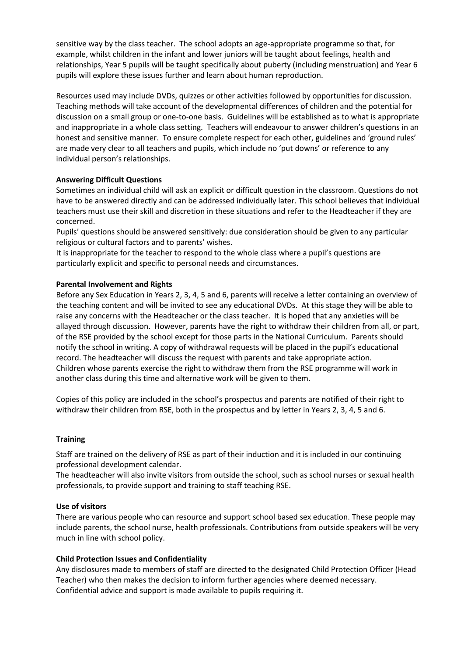sensitive way by the class teacher. The school adopts an age-appropriate programme so that, for example, whilst children in the infant and lower juniors will be taught about feelings, health and relationships, Year 5 pupils will be taught specifically about puberty (including menstruation) and Year 6 pupils will explore these issues further and learn about human reproduction.

Resources used may include DVDs, quizzes or other activities followed by opportunities for discussion. Teaching methods will take account of the developmental differences of children and the potential for discussion on a small group or one-to-one basis. Guidelines will be established as to what is appropriate and inappropriate in a whole class setting. Teachers will endeavour to answer children's questions in an honest and sensitive manner. To ensure complete respect for each other, guidelines and 'ground rules' are made very clear to all teachers and pupils, which include no 'put downs' or reference to any individual person's relationships.

# **Answering Difficult Questions**

Sometimes an individual child will ask an explicit or difficult question in the classroom. Questions do not have to be answered directly and can be addressed individually later. This school believes that individual teachers must use their skill and discretion in these situations and refer to the Headteacher if they are concerned.

Pupils' questions should be answered sensitively: due consideration should be given to any particular religious or cultural factors and to parents' wishes.

It is inappropriate for the teacher to respond to the whole class where a pupil's questions are particularly explicit and specific to personal needs and circumstances.

#### **Parental Involvement and Rights**

Before any Sex Education in Years 2, 3, 4, 5 and 6, parents will receive a letter containing an overview of the teaching content and will be invited to see any educational DVDs. At this stage they will be able to raise any concerns with the Headteacher or the class teacher. It is hoped that any anxieties will be allayed through discussion. However, parents have the right to withdraw their children from all, or part, of the RSE provided by the school except for those parts in the National Curriculum. Parents should notify the school in writing. A copy of withdrawal requests will be placed in the pupil's educational record. The headteacher will discuss the request with parents and take appropriate action. Children whose parents exercise the right to withdraw them from the RSE programme will work in another class during this time and alternative work will be given to them.

Copies of this policy are included in the school's prospectus and parents are notified of their right to withdraw their children from RSE, both in the prospectus and by letter in Years 2, 3, 4, 5 and 6.

#### **Training**

Staff are trained on the delivery of RSE as part of their induction and it is included in our continuing professional development calendar.

The headteacher will also invite visitors from outside the school, such as school nurses or sexual health professionals, to provide support and training to staff teaching RSE.

#### **Use of visitors**

There are various people who can resource and support school based sex education. These people may include parents, the school nurse, health professionals. Contributions from outside speakers will be very much in line with school policy.

#### **Child Protection Issues and Confidentiality**

Any disclosures made to members of staff are directed to the designated Child Protection Officer (Head Teacher) who then makes the decision to inform further agencies where deemed necessary. Confidential advice and support is made available to pupils requiring it.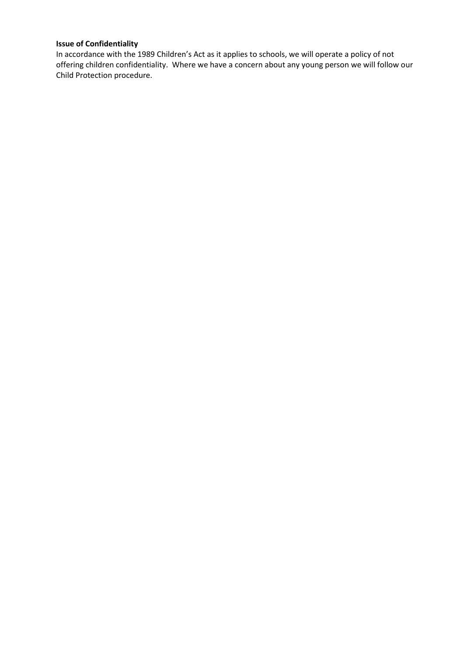# **Issue of Confidentiality**

In accordance with the 1989 Children's Act as it applies to schools, we will operate a policy of not offering children confidentiality. Where we have a concern about any young person we will follow our Child Protection procedure.